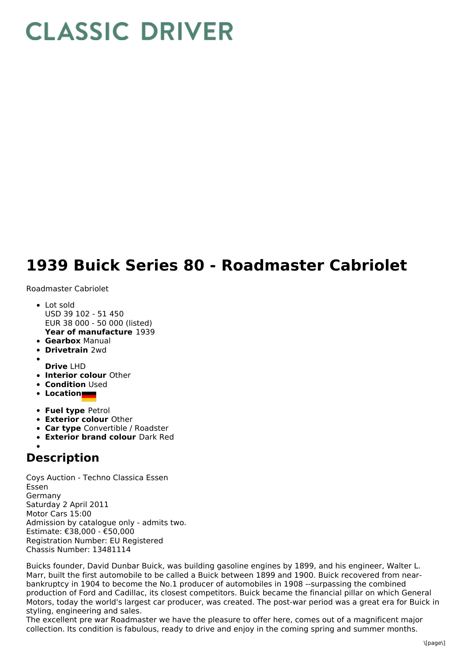## **CLASSIC DRIVER**

## **1939 Buick Series 80 - Roadmaster Cabriolet**

Roadmaster Cabriolet

- **Year of manufacture** 1939 • Lot sold USD 39 102 - 51 450 EUR 38 000 - 50 000 (listed)
- **Gearbox** Manual
- **Drivetrain** 2wd
- **Drive** LHD
- **Interior colour** Other
- **Condition** Used
- **Location**
- **Fuel type** Petrol
- **Exterior colour** Other
- **Car type** Convertible / Roadster
- **Exterior brand colour** Dark Red

## **Description**

Coys Auction - Techno Classica Essen Essen Germany Saturday 2 April 2011 Motor Cars 15:00 Admission by catalogue only - admits two. Estimate: €38,000 - €50,000 Registration Number: EU Registered Chassis Number: 13481114

Buicks founder, David Dunbar Buick, was building gasoline engines by 1899, and his engineer, Walter L. Marr, built the first automobile to be called a Buick between 1899 and 1900. Buick recovered from nearbankruptcy in 1904 to become the No.1 producer of automobiles in 1908 --surpassing the combined production of Ford and Cadillac, its closest competitors. Buick became the financial pillar on which General Motors, today the world's largest car producer, was created. The post-war period was a great era for Buick in styling, engineering and sales.

The excellent pre war Roadmaster we have the pleasure to offer here, comes out of a magnificent major collection. Its condition is fabulous, ready to drive and enjoy in the coming spring and summer months.